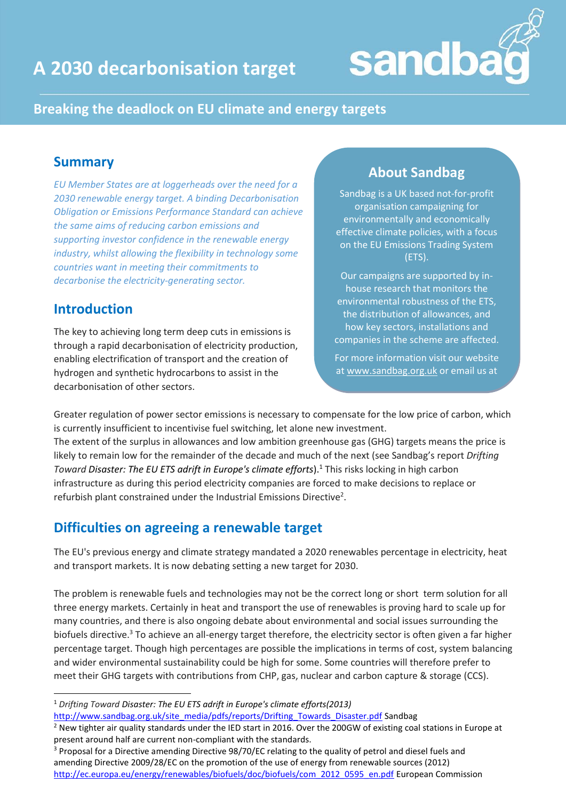



#### **Breaking the deadlock on EU climate and energy targets**

#### **Summary**

*EU Member States are at loggerheads over the need for a 2030 renewable energy target. A binding Decarbonisation Obligation or Emissions Performance Standard can achieve the same aims of reducing carbon emissions and supporting investor confidence in the renewable energy industry, whilst allowing the flexibility in technology some countries want in meeting their commitments to decarbonise the electricity-generating sector.*

#### **Introduction**

**.** 

The key to achieving long term deep cuts in emissions is through a rapid decarbonisation of electricity production, enabling electrification of transport and the creation of hydrogen and synthetic hydrocarbons to assist in the decarbonisation of other sectors.

### **About Sandbag**

Sandbag is a UK based not-for-profit organisation campaigning for environmentally and economically effective climate policies, with a focus on the EU Emissions Trading System (ETS).

Our campaigns are supported by inhouse research that monitors the environmental robustness of the ETS, the distribution of allowances, and how key sectors, installations and companies in the scheme are affected.

For more information visit our website at [www.sandbag.org.uk](http://www.sandbag.org.uk/) or email us at

Greater regulation of power sector emissions is necessary to compensate for the low price of carbon, which is currently insufficient to incentivise fuel switching, let alone new investment.

The extent of the surplus in allowances and low ambition greenhouse gas (GHG) targets means the price is likely to remain low for the remainder of the decade and much of the next (see Sandbag's report *Drifting Toward Disaster: The EU ETS adrift in Europe's climate efforts*).<sup>1</sup> This risks locking in high carbon infrastructure as during this period electricity companies are forced to make decisions to replace or refurbish plant constrained under the Industrial Emissions Directive<sup>2</sup>.

## **Difficulties on agreeing a renewable target**

The EU's previous energy and climate strategy mandated a 2020 renewables percentage in electricity, heat and transport markets. It is now debating setting a new target for 2030.

The problem is renewable fuels and technologies may not be the correct long or short term solution for all three energy markets. Certainly in heat and transport the use of renewables is proving hard to scale up for many countries, and there is also ongoing debate about environmental and social issues surrounding the biofuels directive. <sup>3</sup> To achieve an all-energy target therefore, the electricity sector is often given a far higher percentage target. Though high percentages are possible the implications in terms of cost, system balancing and wider environmental sustainability could be high for some. Some countries will therefore prefer to meet their GHG targets with contributions from CHP, gas, nuclear and carbon capture & storage (CCS).

[http://www.sandbag.org.uk/site\\_media/pdfs/reports/Drifting\\_Towards\\_Disaster.pdf](http://www.sandbag.org.uk/site_media/pdfs/reports/Drifting_Towards_Disaster.pdf) Sandbag

<sup>1</sup> *Drifting Toward Disaster: The EU ETS adrift in Europe's climate efforts(2013)*

<sup>&</sup>lt;sup>2</sup> New tighter air quality standards under the IED start in 2016. Over the 200GW of existing coal stations in Europe at present around half are current non-compliant with the standards.

<sup>3</sup> Proposal for a Directive amending Directive 98/70/EC relating to the quality of petrol and diesel fuels and amending Directive 2009/28/EC on the promotion of the use of energy from renewable sources (2012) [http://ec.europa.eu/energy/renewables/biofuels/doc/biofuels/com\\_2012\\_0595\\_en.pdf](http://ec.europa.eu/energy/renewables/biofuels/doc/biofuels/com_2012_0595_en.pdf) European Commission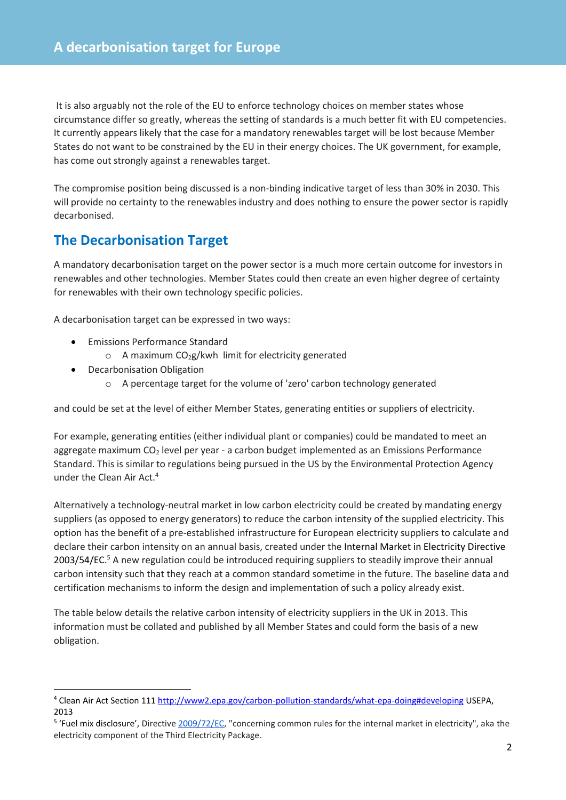It is also arguably not the role of the EU to enforce technology choices on member states whose circumstance differ so greatly, whereas the setting of standards is a much better fit with EU competencies. It currently appears likely that the case for a mandatory renewables target will be lost because Member States do not want to be constrained by the EU in their energy choices. The UK government, for example, has come out strongly against a renewables target.

The compromise position being discussed is a non-binding indicative target of less than 30% in 2030. This will provide no certainty to the renewables industry and does nothing to ensure the power sector is rapidly decarbonised.

### **The Decarbonisation Target**

A mandatory decarbonisation target on the power sector is a much more certain outcome for investors in renewables and other technologies. Member States could then create an even higher degree of certainty for renewables with their own technology specific policies.

A decarbonisation target can be expressed in two ways:

- **•** Emissions Performance Standard
	- $\circ$  A maximum CO<sub>2</sub>g/kwh limit for electricity generated
- Decarbonisation Obligation

**.** 

o A percentage target for the volume of 'zero' carbon technology generated

and could be set at the level of either Member States, generating entities or suppliers of electricity.

For example, generating entities (either individual plant or companies) could be mandated to meet an aggregate maximum  $CO<sub>2</sub>$  level per year - a carbon budget implemented as an Emissions Performance Standard. This is similar to regulations being pursued in the US by the Environmental Protection Agency under the Clean Air Act.<sup>4</sup>

Alternatively a technology-neutral market in low carbon electricity could be created by mandating energy suppliers (as opposed to energy generators) to reduce the carbon intensity of the supplied electricity. This option has the benefit of a pre-established infrastructure for European electricity suppliers to calculate and declare their carbon intensity on an annual basis, created under the [Internal Market in Electricity Directive](http://en.wikipedia.org/wiki/Internal_Market_in_Electricity_Directive) 2003/54/EC.<sup>5</sup> A new regulation could be introduced requiring suppliers to steadily improve their annual carbon intensity such that they reach at a common standard sometime in the future. The baseline data and certification mechanisms to inform the design and implementation of such a policy already exist.

The table below details the relative carbon intensity of electricity suppliers in the UK in 2013. This information must be collated and published by all Member States and could form the basis of a new obligation.

<sup>4</sup> Clean Air Act Section 111<http://www2.epa.gov/carbon-pollution-standards/what-epa-doing#developing> USEPA, 2013

<sup>&</sup>lt;sup>5</sup> 'Fuel mix disclosure', Directive [2009/72/EC,](http://eur-lex.europa.eu/legal-content/EN/TXT/PDF/?uri=CELEX:32009L0072&from=EN) "concerning common rules for the internal market in electricity", aka the electricity component of the Third Electricity Package.